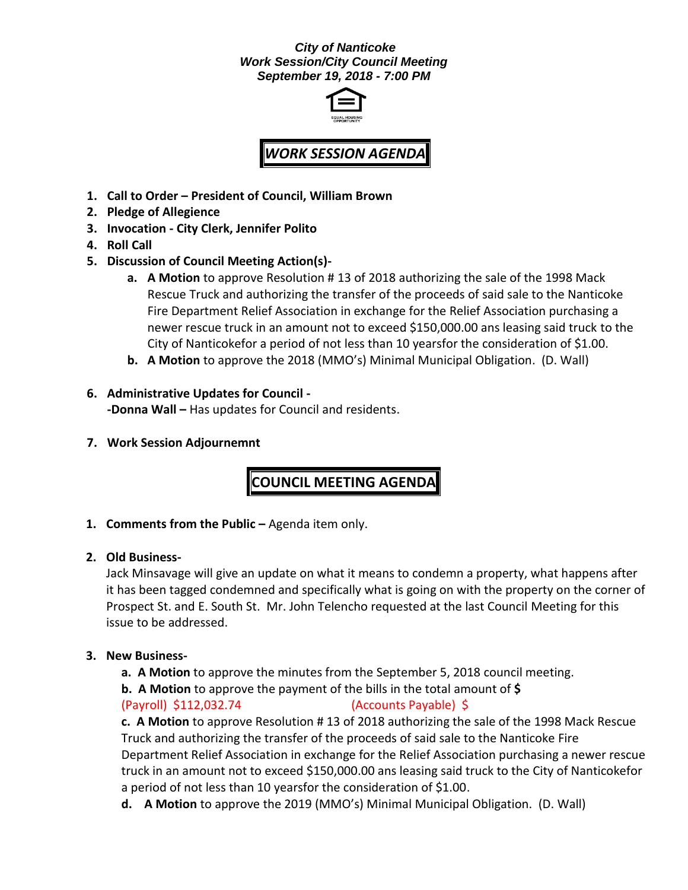#### *City of Nanticoke Work Session/City Council Meeting September 19, 2018 - 7:00 PM*



# *WORK SESSION AGENDA*

- **1. Call to Order – President of Council, William Brown**
- **2. Pledge of Allegience**
- **3. Invocation - City Clerk, Jennifer Polito**
- **4. Roll Call**
- **5. Discussion of Council Meeting Action(s)**
	- **a. A Motion** to approve Resolution # 13 of 2018 authorizing the sale of the 1998 Mack Rescue Truck and authorizing the transfer of the proceeds of said sale to the Nanticoke Fire Department Relief Association in exchange for the Relief Association purchasing a newer rescue truck in an amount not to exceed \$150,000.00 ans leasing said truck to the City of Nanticokefor a period of not less than 10 yearsfor the consideration of \$1.00.
	- **b. A Motion** to approve the 2018 (MMO's) Minimal Municipal Obligation. (D. Wall)

#### **6. Administrative Updates for Council - -Donna Wall –** Has updates for Council and residents.

**7. Work Session Adjournemnt**

## **COUNCIL MEETING AGENDA**

- **1. Comments from the Public –** Agenda item only.
- **2. Old Business-**

Jack Minsavage will give an update on what it means to condemn a property, what happens after it has been tagged condemned and specifically what is going on with the property on the corner of Prospect St. and E. South St. Mr. John Telencho requested at the last Council Meeting for this issue to be addressed.

### **3. New Business-**

- **a. A Motion** to approve the minutes from the September 5, 2018 council meeting.
- **b. A Motion** to approve the payment of the bills in the total amount of **\$**

### (Payroll) \$112,032.74 (Accounts Payable) \$

**c. A Motion** to approve Resolution # 13 of 2018 authorizing the sale of the 1998 Mack Rescue Truck and authorizing the transfer of the proceeds of said sale to the Nanticoke Fire Department Relief Association in exchange for the Relief Association purchasing a newer rescue truck in an amount not to exceed \$150,000.00 ans leasing said truck to the City of Nanticokefor a period of not less than 10 yearsfor the consideration of \$1.00.

**d. A Motion** to approve the 2019 (MMO's) Minimal Municipal Obligation. (D. Wall)